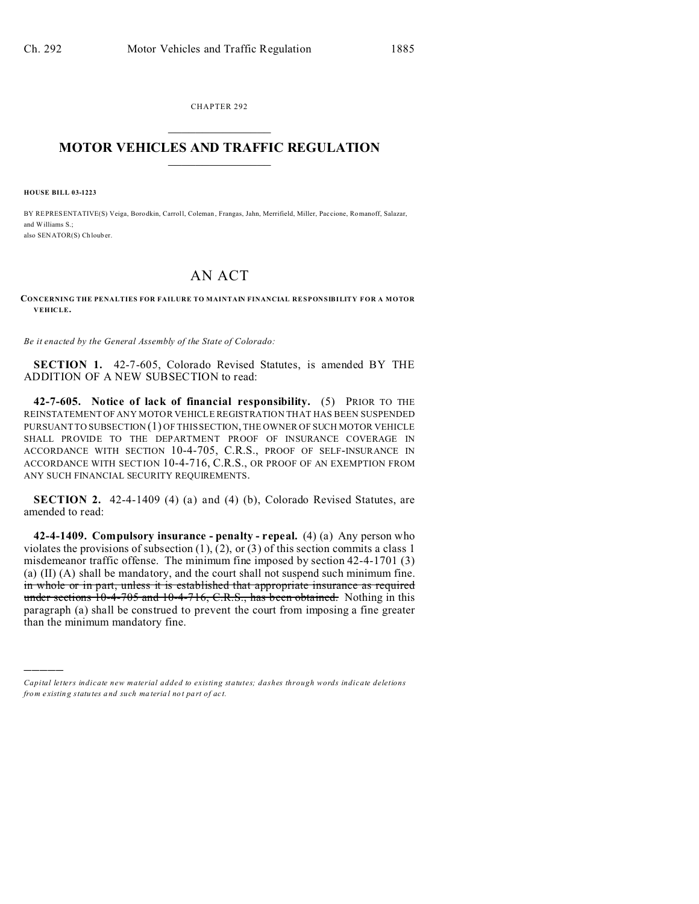CHAPTER 292  $\overline{\phantom{a}}$  , where  $\overline{\phantom{a}}$ 

## **MOTOR VEHICLES AND TRAFFIC REGULATION**  $\frac{1}{2}$  ,  $\frac{1}{2}$  ,  $\frac{1}{2}$  ,  $\frac{1}{2}$  ,  $\frac{1}{2}$  ,  $\frac{1}{2}$  ,  $\frac{1}{2}$

**HOUSE BILL 03-1223**

)))))

BY REPRESENTATIVE(S) Veiga, Borodkin, Carroll, Coleman , Frangas, Jahn, Merrifield, Miller, Pac cione, Romanoff, Salazar, and Williams  $S$ . also SENATOR(S) Ch loub er.

## AN ACT

**CONCERNING THE PENALTIES FOR FAILURE TO MAINTAIN FINANCIAL RESPONSIBILITY FOR A MOTOR VEHICLE.**

*Be it enacted by the General Assembly of the State of Colorado:*

**SECTION 1.** 42-7-605, Colorado Revised Statutes, is amended BY THE ADDITION OF A NEW SUBSECTION to read:

**42-7-605. Notice of lack of financial responsibility.** (5) PRIOR TO THE REINSTATEMENT OF ANY MOTOR VEHICLE REGISTRATION THAT HAS BEEN SUSPENDED PURSUANT TO SUBSECTION (1) OF THIS SECTION, THE OWNER OF SUCH MOTOR VEHICLE SHALL PROVIDE TO THE DEPARTMENT PROOF OF INSURANCE COVERAGE IN ACCORDANCE WITH SECTION 10-4-705, C.R.S., PROOF OF SELF-INSURANCE IN ACCORDANCE WITH SECTION 10-4-716, C.R.S., OR PROOF OF AN EXEMPTION FROM ANY SUCH FINANCIAL SECURITY REQUIREMENTS.

**SECTION 2.** 42-4-1409 (4) (a) and (4) (b), Colorado Revised Statutes, are amended to read:

**42-4-1409. Compulsory insurance - penalty - repeal.** (4) (a) Any person who violates the provisions of subsection  $(1)$ ,  $(2)$ , or  $(3)$  of this section commits a class 1 misdemeanor traffic offense. The minimum fine imposed by section 42-4-1701 (3) (a) (II) (A) shall be mandatory, and the court shall not suspend such minimum fine. in whole or in part, unless it is established that appropriate insurance as required under sections 10-4-705 and 10-4-716, C.R.S., has been obtained. Nothing in this paragraph (a) shall be construed to prevent the court from imposing a fine greater than the minimum mandatory fine.

*Capital letters indicate new material added to existing statutes; dashes through words indicate deletions from e xistin g statu tes a nd such ma teria l no t pa rt of ac t.*